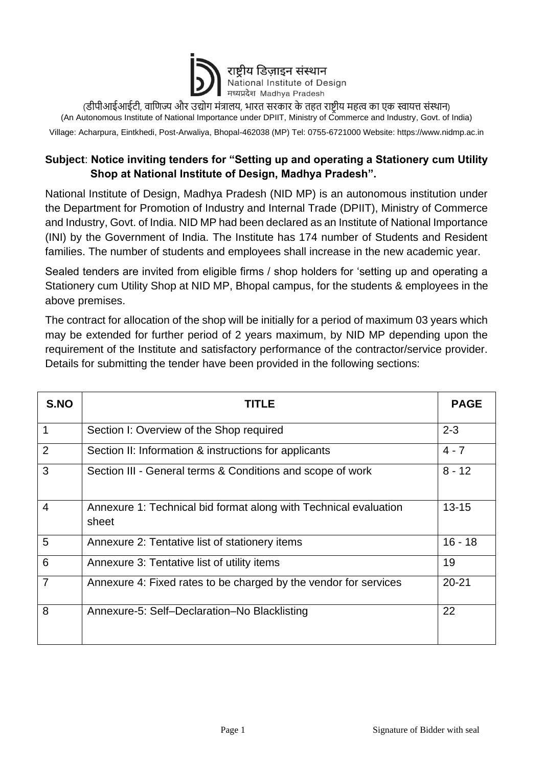

(डीपीआईआईटी, वाणिज्य और उद्योग मंत्रालय, भारत सरकार के तहत राष्ट्रीय महत्व का एक स्वायत्त संस्थान) (An Autonomous Institute of National Importance under DPIIT, [Ministry of Commerce and Industry,](https://en.wikipedia.org/wiki/Ministry_of_Commerce_and_Industry_(India)) Govt. of India)

Village: Acharpura, Eintkhedi, Post-Arwaliya, Bhopal-462038 (MP) Tel: 0755-6721000 Website: https://www.nidmp.ac.in

## **Subject**: **Notice inviting tenders for "Setting up and operating a Stationery cum Utility Shop at National Institute of Design, Madhya Pradesh".**

National Institute of Design, Madhya Pradesh (NID MP) is an autonomous institution under the Department for Promotion of Industry and Internal Trade (DPIIT), Ministry of Commerce and Industry, Govt. of India. NID MP had been declared as an Institute of National Importance (INI) by the Government of India. The Institute has 174 number of Students and Resident families. The number of students and employees shall increase in the new academic year.

Sealed tenders are invited from eligible firms / shop holders for 'setting up and operating a Stationery cum Utility Shop at NID MP, Bhopal campus, for the students & employees in the above premises.

The contract for allocation of the shop will be initially for a period of maximum 03 years which may be extended for further period of 2 years maximum, by NID MP depending upon the requirement of the Institute and satisfactory performance of the contractor/service provider. Details for submitting the tender have been provided in the following sections:

| S.NO           | <b>TITLE</b>                                                              | <b>PAGE</b> |
|----------------|---------------------------------------------------------------------------|-------------|
| 1              | Section I: Overview of the Shop required                                  | $2 - 3$     |
| $\overline{2}$ | Section II: Information & instructions for applicants                     | $4 - 7$     |
| 3              | Section III - General terms & Conditions and scope of work                | $8 - 12$    |
| $\overline{4}$ | Annexure 1: Technical bid format along with Technical evaluation<br>sheet | $13 - 15$   |
| 5              | Annexure 2: Tentative list of stationery items                            | $16 - 18$   |
| 6              | Annexure 3: Tentative list of utility items                               | 19          |
| $\overline{7}$ | Annexure 4: Fixed rates to be charged by the vendor for services          | $20 - 21$   |
| 8              | Annexure-5: Self-Declaration-No Blacklisting                              | 22          |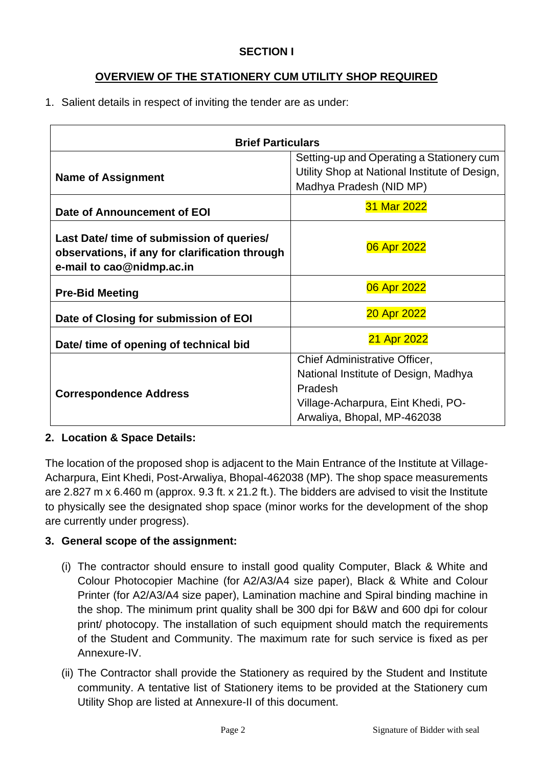#### **SECTION I**

## **OVERVIEW OF THE STATIONERY CUM UTILITY SHOP REQUIRED**

1. Salient details in respect of inviting the tender are as under:

| <b>Brief Particulars</b>                                                                                                 |                                                                                                                                                       |  |  |  |
|--------------------------------------------------------------------------------------------------------------------------|-------------------------------------------------------------------------------------------------------------------------------------------------------|--|--|--|
| <b>Name of Assignment</b>                                                                                                | Setting-up and Operating a Stationery cum<br>Utility Shop at National Institute of Design,<br>Madhya Pradesh (NID MP)                                 |  |  |  |
| Date of Announcement of EOI                                                                                              | 31 Mar 2022                                                                                                                                           |  |  |  |
| Last Date/ time of submission of queries/<br>observations, if any for clarification through<br>e-mail to cao@nidmp.ac.in | 06 Apr 2022                                                                                                                                           |  |  |  |
| <b>Pre-Bid Meeting</b>                                                                                                   | 06 Apr 2022                                                                                                                                           |  |  |  |
| Date of Closing for submission of EOI                                                                                    | 20 Apr 2022                                                                                                                                           |  |  |  |
| Date/ time of opening of technical bid                                                                                   | 21 Apr 2022                                                                                                                                           |  |  |  |
| <b>Correspondence Address</b>                                                                                            | Chief Administrative Officer,<br>National Institute of Design, Madhya<br>Pradesh<br>Village-Acharpura, Eint Khedi, PO-<br>Arwaliya, Bhopal, MP-462038 |  |  |  |

#### **2. Location & Space Details:**

The location of the proposed shop is adjacent to the Main Entrance of the Institute at Village-Acharpura, Eint Khedi, Post-Arwaliya, Bhopal-462038 (MP). The shop space measurements are 2.827 m x 6.460 m (approx. 9.3 ft. x 21.2 ft.). The bidders are advised to visit the Institute to physically see the designated shop space (minor works for the development of the shop are currently under progress).

#### **3. General scope of the assignment:**

- (i) The contractor should ensure to install good quality Computer, Black & White and Colour Photocopier Machine (for A2/A3/A4 size paper), Black & White and Colour Printer (for A2/A3/A4 size paper), Lamination machine and Spiral binding machine in the shop. The minimum print quality shall be 300 dpi for B&W and 600 dpi for colour print/ photocopy. The installation of such equipment should match the requirements of the Student and Community. The maximum rate for such service is fixed as per Annexure-IV.
- (ii) The Contractor shall provide the Stationery as required by the Student and Institute community. A tentative list of Stationery items to be provided at the Stationery cum Utility Shop are listed at Annexure-II of this document.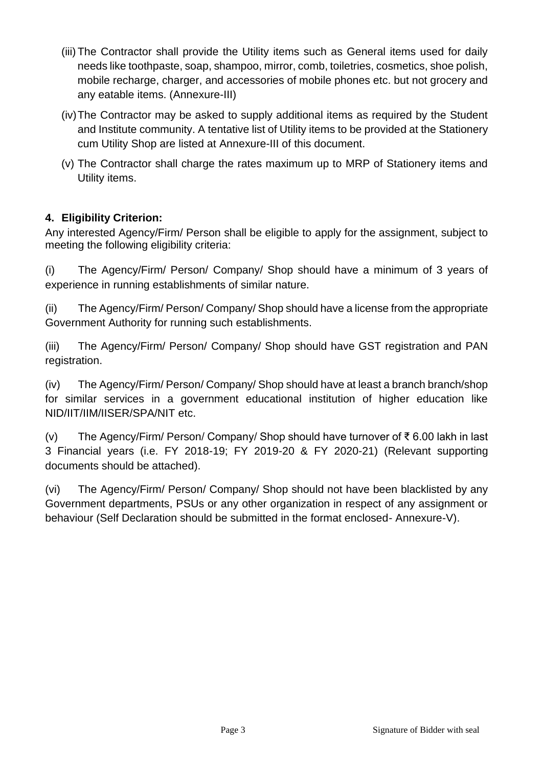- (iii) The Contractor shall provide the Utility items such as General items used for daily needs like toothpaste, soap, shampoo, mirror, comb, toiletries, cosmetics, shoe polish, mobile recharge, charger, and accessories of mobile phones etc. but not grocery and any eatable items. (Annexure-III)
- (iv)The Contractor may be asked to supply additional items as required by the Student and Institute community. A tentative list of Utility items to be provided at the Stationery cum Utility Shop are listed at Annexure-III of this document.
- (v) The Contractor shall charge the rates maximum up to MRP of Stationery items and Utility items.

# **4. Eligibility Criterion:**

Any interested Agency/Firm/ Person shall be eligible to apply for the assignment, subject to meeting the following eligibility criteria:

(i) The Agency/Firm/ Person/ Company/ Shop should have a minimum of 3 years of experience in running establishments of similar nature.

(ii) The Agency/Firm/ Person/ Company/ Shop should have a license from the appropriate Government Authority for running such establishments.

(iii) The Agency/Firm/ Person/ Company/ Shop should have GST registration and PAN registration.

(iv) The Agency/Firm/ Person/ Company/ Shop should have at least a branch branch/shop for similar services in a government educational institution of higher education like NID/IIT/IIM/IISER/SPA/NIT etc.

(v) The Agency/Firm/ Person/ Company/ Shop should have turnover of ₹ 6.00 lakh in last 3 Financial years (i.e. FY 2018-19; FY 2019-20 & FY 2020-21) (Relevant supporting documents should be attached).

(vi) The Agency/Firm/ Person/ Company/ Shop should not have been blacklisted by any Government departments, PSUs or any other organization in respect of any assignment or behaviour (Self Declaration should be submitted in the format enclosed- Annexure-V).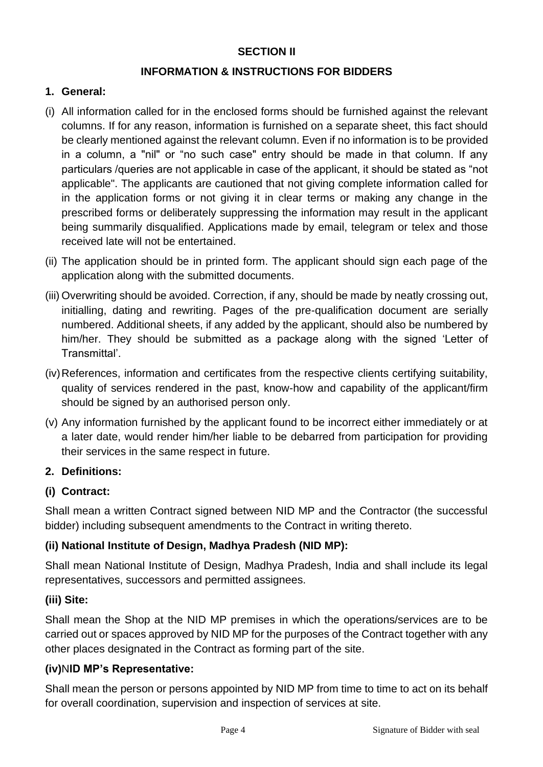#### **SECTION II**

#### **INFORMATION & INSTRUCTIONS FOR BIDDERS**

#### **1. General:**

- (i) All information called for in the enclosed forms should be furnished against the relevant columns. If for any reason, information is furnished on a separate sheet, this fact should be clearly mentioned against the relevant column. Even if no information is to be provided in a column, a "nil" or "no such case" entry should be made in that column. If any particulars /queries are not applicable in case of the applicant, it should be stated as "not applicable". The applicants are cautioned that not giving complete information called for in the application forms or not giving it in clear terms or making any change in the prescribed forms or deliberately suppressing the information may result in the applicant being summarily disqualified. Applications made by email, telegram or telex and those received late will not be entertained.
- (ii) The application should be in printed form. The applicant should sign each page of the application along with the submitted documents.
- (iii) Overwriting should be avoided. Correction, if any, should be made by neatly crossing out, initialling, dating and rewriting. Pages of the pre-qualification document are serially numbered. Additional sheets, if any added by the applicant, should also be numbered by him/her. They should be submitted as a package along with the signed 'Letter of Transmittal'.
- (iv)References, information and certificates from the respective clients certifying suitability, quality of services rendered in the past, know-how and capability of the applicant/firm should be signed by an authorised person only.
- (v) Any information furnished by the applicant found to be incorrect either immediately or at a later date, would render him/her liable to be debarred from participation for providing their services in the same respect in future.

# **2. Definitions:**

# **(i) Contract:**

Shall mean a written Contract signed between NID MP and the Contractor (the successful bidder) including subsequent amendments to the Contract in writing thereto.

# **(ii) National Institute of Design, Madhya Pradesh (NID MP):**

Shall mean National Institute of Design, Madhya Pradesh, India and shall include its legal representatives, successors and permitted assignees.

# **(iii) Site:**

Shall mean the Shop at the NID MP premises in which the operations/services are to be carried out or spaces approved by NID MP for the purposes of the Contract together with any other places designated in the Contract as forming part of the site.

# **(iv)**N**ID MP's Representative:**

Shall mean the person or persons appointed by NID MP from time to time to act on its behalf for overall coordination, supervision and inspection of services at site.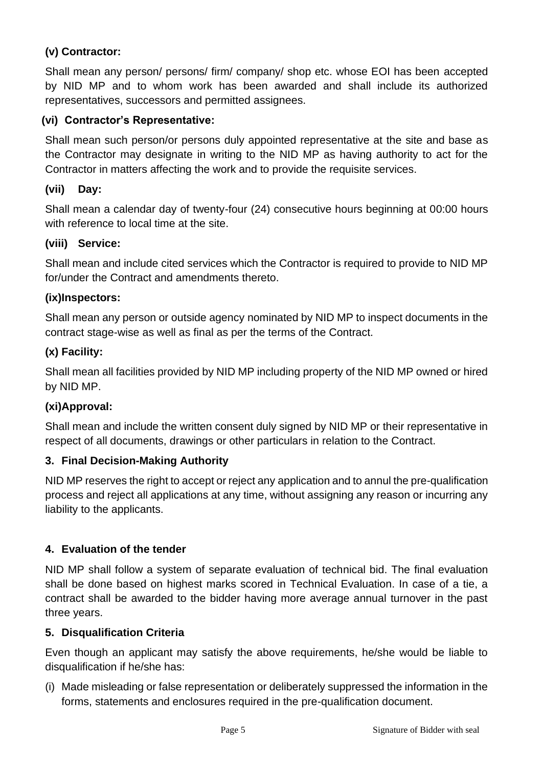## **(v) Contractor:**

Shall mean any person/ persons/ firm/ company/ shop etc. whose EOI has been accepted by NID MP and to whom work has been awarded and shall include its authorized representatives, successors and permitted assignees.

#### **(vi) Contractor's Representative:**

Shall mean such person/or persons duly appointed representative at the site and base as the Contractor may designate in writing to the NID MP as having authority to act for the Contractor in matters affecting the work and to provide the requisite services.

#### **(vii) Day:**

Shall mean a calendar day of twenty-four (24) consecutive hours beginning at 00:00 hours with reference to local time at the site.

#### **(viii) Service:**

Shall mean and include cited services which the Contractor is required to provide to NID MP for/under the Contract and amendments thereto.

#### **(ix)Inspectors:**

Shall mean any person or outside agency nominated by NID MP to inspect documents in the contract stage-wise as well as final as per the terms of the Contract.

#### **(x) Facility:**

Shall mean all facilities provided by NID MP including property of the NID MP owned or hired by NID MP.

#### **(xi)Approval:**

Shall mean and include the written consent duly signed by NID MP or their representative in respect of all documents, drawings or other particulars in relation to the Contract.

#### **3. Final Decision-Making Authority**

NID MP reserves the right to accept or reject any application and to annul the pre-qualification process and reject all applications at any time, without assigning any reason or incurring any liability to the applicants.

#### **4. Evaluation of the tender**

NID MP shall follow a system of separate evaluation of technical bid. The final evaluation shall be done based on highest marks scored in Technical Evaluation. In case of a tie, a contract shall be awarded to the bidder having more average annual turnover in the past three years.

#### **5. Disqualification Criteria**

Even though an applicant may satisfy the above requirements, he/she would be liable to disqualification if he/she has:

(i) Made misleading or false representation or deliberately suppressed the information in the forms, statements and enclosures required in the pre-qualification document.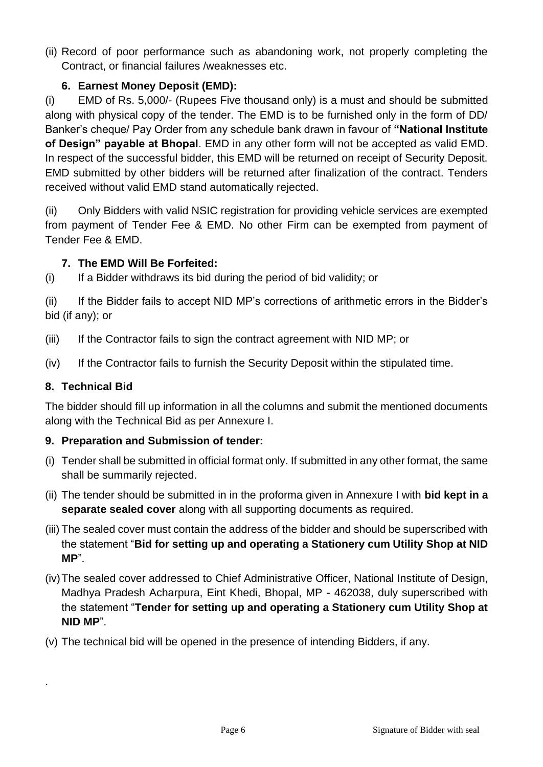(ii) Record of poor performance such as abandoning work, not properly completing the Contract, or financial failures /weaknesses etc.

# **6. Earnest Money Deposit (EMD):**

(i) EMD of Rs. 5,000/- (Rupees Five thousand only) is a must and should be submitted along with physical copy of the tender. The EMD is to be furnished only in the form of DD/ Banker's cheque/ Pay Order from any schedule bank drawn in favour of **"National Institute of Design" payable at Bhopal**. EMD in any other form will not be accepted as valid EMD. In respect of the successful bidder, this EMD will be returned on receipt of Security Deposit. EMD submitted by other bidders will be returned after finalization of the contract. Tenders received without valid EMD stand automatically rejected.

(ii) Only Bidders with valid NSIC registration for providing vehicle services are exempted from payment of Tender Fee & EMD. No other Firm can be exempted from payment of Tender Fee & EMD.

# **7. The EMD Will Be Forfeited:**

(i) If a Bidder withdraws its bid during the period of bid validity; or

(ii) If the Bidder fails to accept NID MP's corrections of arithmetic errors in the Bidder's bid (if any); or

- (iii) If the Contractor fails to sign the contract agreement with NID MP; or
- (iv) If the Contractor fails to furnish the Security Deposit within the stipulated time.

# **8. Technical Bid**

.

The bidder should fill up information in all the columns and submit the mentioned documents along with the Technical Bid as per Annexure I.

# **9. Preparation and Submission of tender:**

- (i) Tender shall be submitted in official format only. If submitted in any other format, the same shall be summarily rejected.
- (ii) The tender should be submitted in in the proforma given in Annexure I with **bid kept in a separate sealed cover** along with all supporting documents as required.
- (iii) The sealed cover must contain the address of the bidder and should be superscribed with the statement "**Bid for setting up and operating a Stationery cum Utility Shop at NID MP**".
- (iv)The sealed cover addressed to Chief Administrative Officer, National Institute of Design, Madhya Pradesh Acharpura, Eint Khedi, Bhopal, MP - 462038, duly superscribed with the statement "**Tender for setting up and operating a Stationery cum Utility Shop at NID MP**".
- (v) The technical bid will be opened in the presence of intending Bidders, if any.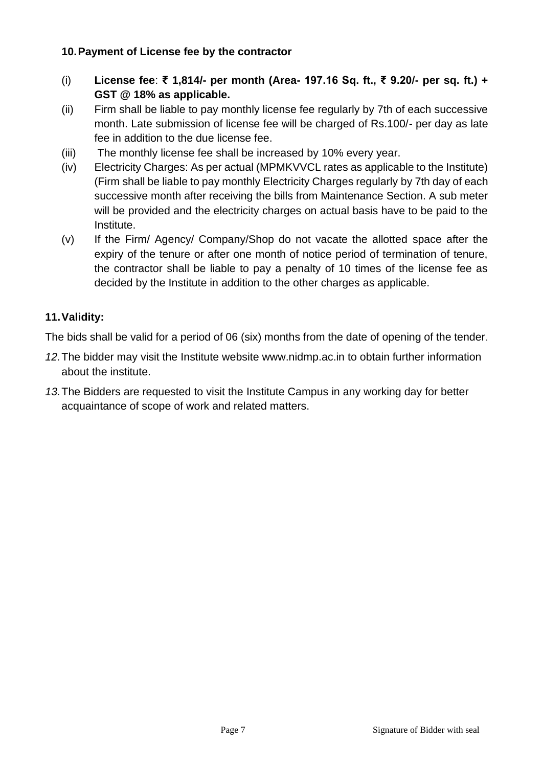#### **10.Payment of License fee by the contractor**

- (i) **License fee**: **₹ 1,814/- per month (Area- 197.16 Sq. ft., ₹ 9.20/- per sq. ft.) + GST @ 18% as applicable.**
- (ii) Firm shall be liable to pay monthly license fee regularly by 7th of each successive month. Late submission of license fee will be charged of Rs.100/- per day as late fee in addition to the due license fee.
- (iii) The monthly license fee shall be increased by 10% every year.
- (iv) Electricity Charges: As per actual (MPMKVVCL rates as applicable to the Institute) (Firm shall be liable to pay monthly Electricity Charges regularly by 7th day of each successive month after receiving the bills from Maintenance Section. A sub meter will be provided and the electricity charges on actual basis have to be paid to the Institute.
- (v) If the Firm/ Agency/ Company/Shop do not vacate the allotted space after the expiry of the tenure or after one month of notice period of termination of tenure, the contractor shall be liable to pay a penalty of 10 times of the license fee as decided by the Institute in addition to the other charges as applicable.

### **11.Validity:**

The bids shall be valid for a period of 06 (six) months from the date of opening of the tender.

- *12.*The bidder may visit the Institute website www.nidmp.ac.in to obtain further information about the institute.
- *13.*The Bidders are requested to visit the Institute Campus in any working day for better acquaintance of scope of work and related matters.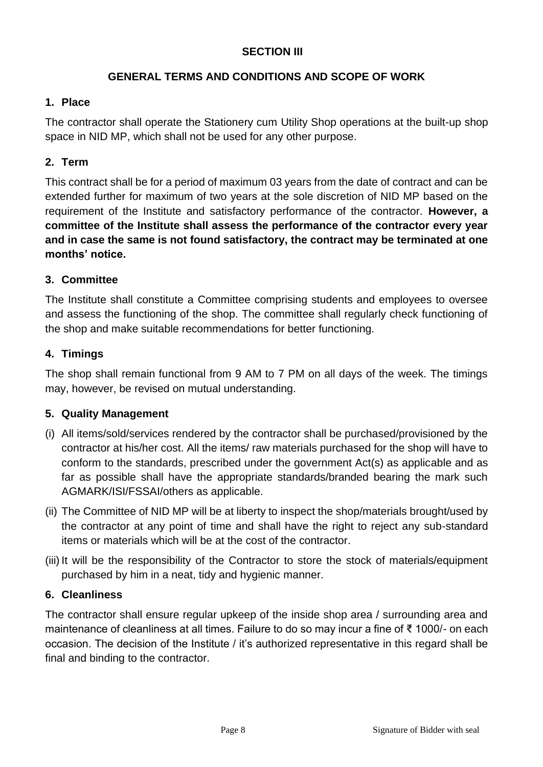### **SECTION III**

### **GENERAL TERMS AND CONDITIONS AND SCOPE OF WORK**

#### **1. Place**

The contractor shall operate the Stationery cum Utility Shop operations at the built-up shop space in NID MP, which shall not be used for any other purpose.

### **2. Term**

This contract shall be for a period of maximum 03 years from the date of contract and can be extended further for maximum of two years at the sole discretion of NID MP based on the requirement of the Institute and satisfactory performance of the contractor. **However, a committee of the Institute shall assess the performance of the contractor every year and in case the same is not found satisfactory, the contract may be terminated at one months' notice.**

### **3. Committee**

The Institute shall constitute a Committee comprising students and employees to oversee and assess the functioning of the shop. The committee shall regularly check functioning of the shop and make suitable recommendations for better functioning.

### **4. Timings**

The shop shall remain functional from 9 AM to 7 PM on all days of the week. The timings may, however, be revised on mutual understanding.

#### **5. Quality Management**

- (i) All items/sold/services rendered by the contractor shall be purchased/provisioned by the contractor at his/her cost. All the items/ raw materials purchased for the shop will have to conform to the standards, prescribed under the government Act(s) as applicable and as far as possible shall have the appropriate standards/branded bearing the mark such AGMARK/ISI/FSSAI/others as applicable.
- (ii) The Committee of NID MP will be at liberty to inspect the shop/materials brought/used by the contractor at any point of time and shall have the right to reject any sub-standard items or materials which will be at the cost of the contractor.
- (iii) It will be the responsibility of the Contractor to store the stock of materials/equipment purchased by him in a neat, tidy and hygienic manner.

# **6. Cleanliness**

The contractor shall ensure regular upkeep of the inside shop area / surrounding area and maintenance of cleanliness at all times. Failure to do so may incur a fine of ₹ 1000/- on each occasion. The decision of the Institute / it's authorized representative in this regard shall be final and binding to the contractor.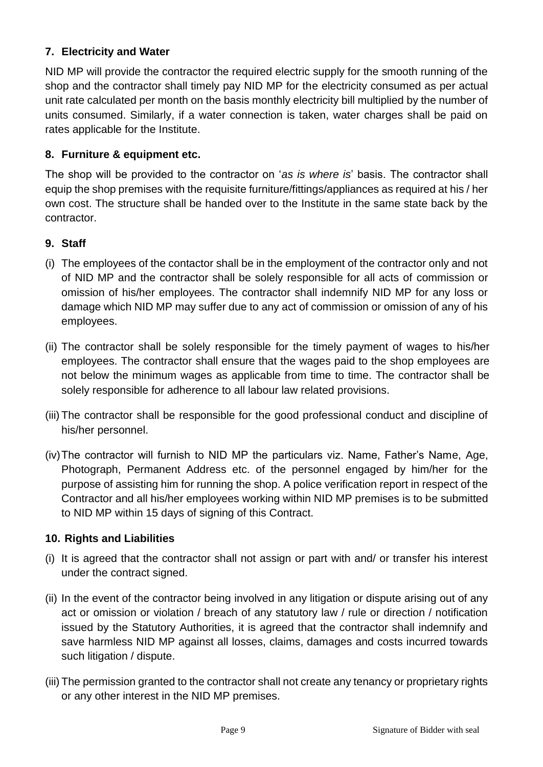### **7. Electricity and Water**

NID MP will provide the contractor the required electric supply for the smooth running of the shop and the contractor shall timely pay NID MP for the electricity consumed as per actual unit rate calculated per month on the basis monthly electricity bill multiplied by the number of units consumed. Similarly, if a water connection is taken, water charges shall be paid on rates applicable for the Institute.

#### **8. Furniture & equipment etc.**

The shop will be provided to the contractor on '*as is where is*' basis. The contractor shall equip the shop premises with the requisite furniture/fittings/appliances as required at his / her own cost. The structure shall be handed over to the Institute in the same state back by the contractor.

### **9. Staff**

- (i) The employees of the contactor shall be in the employment of the contractor only and not of NID MP and the contractor shall be solely responsible for all acts of commission or omission of his/her employees. The contractor shall indemnify NID MP for any loss or damage which NID MP may suffer due to any act of commission or omission of any of his employees.
- (ii) The contractor shall be solely responsible for the timely payment of wages to his/her employees. The contractor shall ensure that the wages paid to the shop employees are not below the minimum wages as applicable from time to time. The contractor shall be solely responsible for adherence to all labour law related provisions.
- (iii) The contractor shall be responsible for the good professional conduct and discipline of his/her personnel.
- (iv)The contractor will furnish to NID MP the particulars viz. Name, Father's Name, Age, Photograph, Permanent Address etc. of the personnel engaged by him/her for the purpose of assisting him for running the shop. A police verification report in respect of the Contractor and all his/her employees working within NID MP premises is to be submitted to NID MP within 15 days of signing of this Contract.

#### **10. Rights and Liabilities**

- (i) It is agreed that the contractor shall not assign or part with and/ or transfer his interest under the contract signed.
- (ii) In the event of the contractor being involved in any litigation or dispute arising out of any act or omission or violation / breach of any statutory law / rule or direction / notification issued by the Statutory Authorities, it is agreed that the contractor shall indemnify and save harmless NID MP against all losses, claims, damages and costs incurred towards such litigation / dispute.
- (iii) The permission granted to the contractor shall not create any tenancy or proprietary rights or any other interest in the NID MP premises.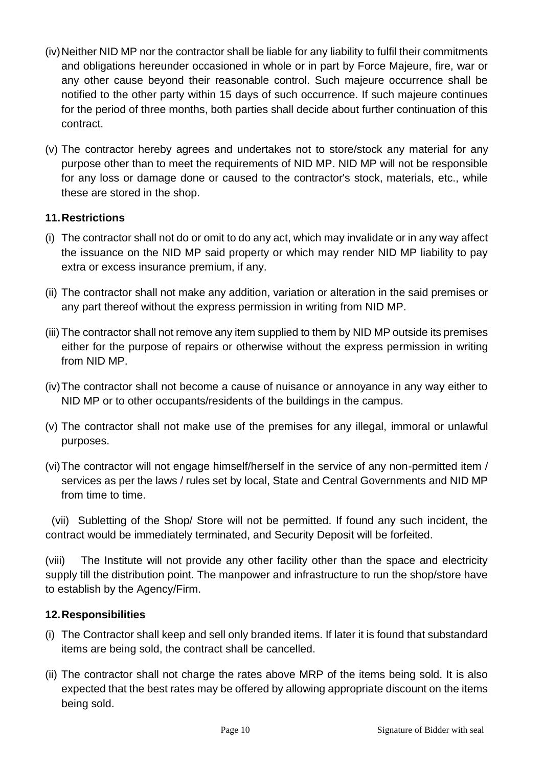- (iv) Neither NID MP nor the contractor shall be liable for any liability to fulfil their commitments and obligations hereunder occasioned in whole or in part by Force Majeure, fire, war or any other cause beyond their reasonable control. Such majeure occurrence shall be notified to the other party within 15 days of such occurrence. If such majeure continues for the period of three months, both parties shall decide about further continuation of this contract.
- (v) The contractor hereby agrees and undertakes not to store/stock any material for any purpose other than to meet the requirements of NID MP. NID MP will not be responsible for any loss or damage done or caused to the contractor's stock, materials, etc., while these are stored in the shop.

#### **11.Restrictions**

- (i) The contractor shall not do or omit to do any act, which may invalidate or in any way affect the issuance on the NID MP said property or which may render NID MP liability to pay extra or excess insurance premium, if any.
- (ii) The contractor shall not make any addition, variation or alteration in the said premises or any part thereof without the express permission in writing from NID MP.
- (iii) The contractor shall not remove any item supplied to them by NID MP outside its premises either for the purpose of repairs or otherwise without the express permission in writing from NID MP.
- (iv)The contractor shall not become a cause of nuisance or annoyance in any way either to NID MP or to other occupants/residents of the buildings in the campus.
- (v) The contractor shall not make use of the premises for any illegal, immoral or unlawful purposes.
- (vi)The contractor will not engage himself/herself in the service of any non-permitted item / services as per the laws / rules set by local, State and Central Governments and NID MP from time to time.

(vii) Subletting of the Shop/ Store will not be permitted. If found any such incident, the contract would be immediately terminated, and Security Deposit will be forfeited.

(viii) The Institute will not provide any other facility other than the space and electricity supply till the distribution point. The manpower and infrastructure to run the shop/store have to establish by the Agency/Firm.

#### **12.Responsibilities**

- (i) The Contractor shall keep and sell only branded items. If later it is found that substandard items are being sold, the contract shall be cancelled.
- (ii) The contractor shall not charge the rates above MRP of the items being sold. It is also expected that the best rates may be offered by allowing appropriate discount on the items being sold.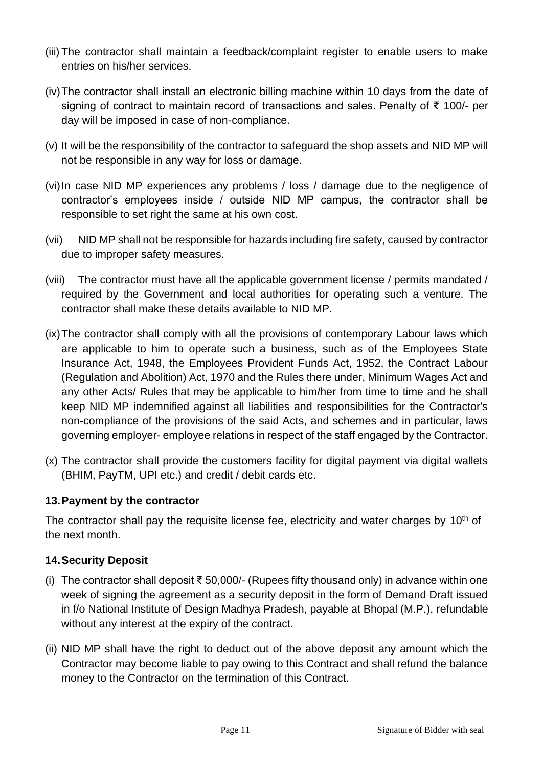- (iii) The contractor shall maintain a feedback/complaint register to enable users to make entries on his/her services.
- (iv)The contractor shall install an electronic billing machine within 10 days from the date of signing of contract to maintain record of transactions and sales. Penalty of ₹ 100/- per day will be imposed in case of non-compliance.
- (v) It will be the responsibility of the contractor to safeguard the shop assets and NID MP will not be responsible in any way for loss or damage.
- (vi)In case NID MP experiences any problems / loss / damage due to the negligence of contractor's employees inside / outside NID MP campus, the contractor shall be responsible to set right the same at his own cost.
- (vii) NID MP shall not be responsible for hazards including fire safety, caused by contractor due to improper safety measures.
- (viii) The contractor must have all the applicable government license / permits mandated / required by the Government and local authorities for operating such a venture. The contractor shall make these details available to NID MP.
- (ix)The contractor shall comply with all the provisions of contemporary Labour laws which are applicable to him to operate such a business, such as of the Employees State Insurance Act, 1948, the Employees Provident Funds Act, 1952, the Contract Labour (Regulation and Abolition) Act, 1970 and the Rules there under, Minimum Wages Act and any other Acts/ Rules that may be applicable to him/her from time to time and he shall keep NID MP indemnified against all liabilities and responsibilities for the Contractor's non-compliance of the provisions of the said Acts, and schemes and in particular, laws governing employer- employee relations in respect of the staff engaged by the Contractor.
- (x) The contractor shall provide the customers facility for digital payment via digital wallets (BHIM, PayTM, UPI etc.) and credit / debit cards etc.

#### **13.Payment by the contractor**

The contractor shall pay the requisite license fee, electricity and water charges by  $10<sup>th</sup>$  of the next month.

#### **14.Security Deposit**

- (i) The contractor shall deposit ₹ 50,000/- (Rupees fifty thousand only) in advance within one week of signing the agreement as a security deposit in the form of Demand Draft issued in f/o National Institute of Design Madhya Pradesh, payable at Bhopal (M.P.), refundable without any interest at the expiry of the contract.
- (ii) NID MP shall have the right to deduct out of the above deposit any amount which the Contractor may become liable to pay owing to this Contract and shall refund the balance money to the Contractor on the termination of this Contract.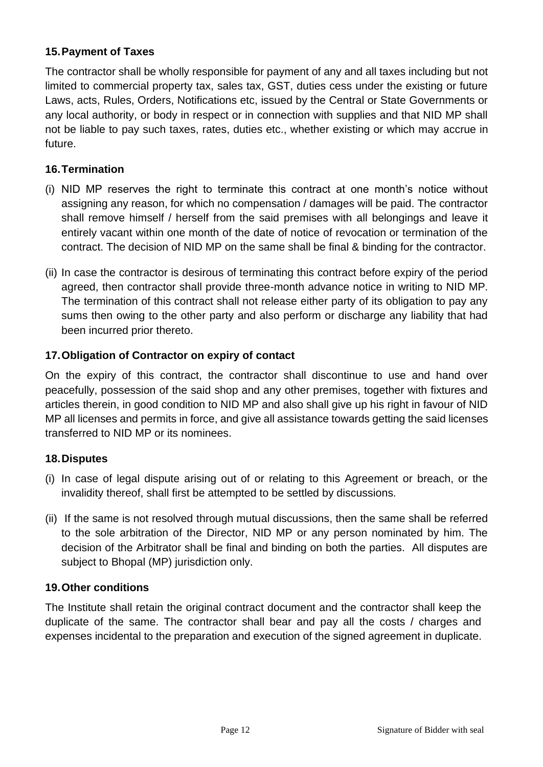### **15.Payment of Taxes**

The contractor shall be wholly responsible for payment of any and all taxes including but not limited to commercial property tax, sales tax, GST, duties cess under the existing or future Laws, acts, Rules, Orders, Notifications etc, issued by the Central or State Governments or any local authority, or body in respect or in connection with supplies and that NID MP shall not be liable to pay such taxes, rates, duties etc., whether existing or which may accrue in future.

#### **16.Termination**

- (i) NID MP reserves the right to terminate this contract at one month's notice without assigning any reason, for which no compensation / damages will be paid. The contractor shall remove himself / herself from the said premises with all belongings and leave it entirely vacant within one month of the date of notice of revocation or termination of the contract. The decision of NID MP on the same shall be final & binding for the contractor.
- (ii) In case the contractor is desirous of terminating this contract before expiry of the period agreed, then contractor shall provide three-month advance notice in writing to NID MP. The termination of this contract shall not release either party of its obligation to pay any sums then owing to the other party and also perform or discharge any liability that had been incurred prior thereto.

### **17.Obligation of Contractor on expiry of contact**

On the expiry of this contract, the contractor shall discontinue to use and hand over peacefully, possession of the said shop and any other premises, together with fixtures and articles therein, in good condition to NID MP and also shall give up his right in favour of NID MP all licenses and permits in force, and give all assistance towards getting the said licenses transferred to NID MP or its nominees.

#### **18.Disputes**

- (i) In case of legal dispute arising out of or relating to this Agreement or breach, or the invalidity thereof, shall first be attempted to be settled by discussions.
- (ii) If the same is not resolved through mutual discussions, then the same shall be referred to the sole arbitration of the Director, NID MP or any person nominated by him. The decision of the Arbitrator shall be final and binding on both the parties. All disputes are subject to Bhopal (MP) jurisdiction only.

#### **19.Other conditions**

The Institute shall retain the original contract document and the contractor shall keep the duplicate of the same. The contractor shall bear and pay all the costs / charges and expenses incidental to the preparation and execution of the signed agreement in duplicate.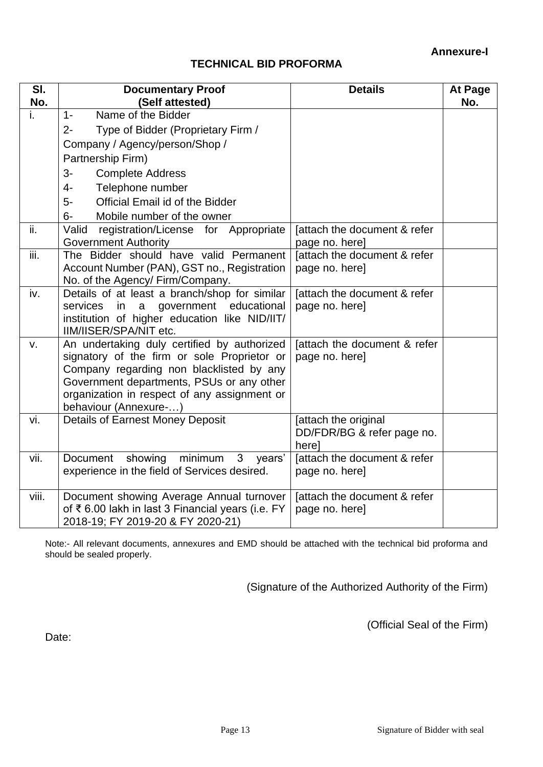#### **TECHNICAL BID PROFORMA**

| SI.<br>No. | <b>Documentary Proof</b><br>(Self attested)                                                 | <b>Details</b>                                 | At Page<br>No. |
|------------|---------------------------------------------------------------------------------------------|------------------------------------------------|----------------|
| i.         | Name of the Bidder<br>$1 -$                                                                 |                                                |                |
|            | Type of Bidder (Proprietary Firm /<br>$2 -$                                                 |                                                |                |
|            | Company / Agency/person/Shop /                                                              |                                                |                |
|            | Partnership Firm)                                                                           |                                                |                |
|            | <b>Complete Address</b><br>$3-$                                                             |                                                |                |
|            | Telephone number<br>$4-$                                                                    |                                                |                |
|            | Official Email id of the Bidder<br>5-                                                       |                                                |                |
|            | Mobile number of the owner<br>$6-$                                                          |                                                |                |
| ii.        | Valid<br>registration/License for Appropriate                                               | [attach the document & refer                   |                |
|            | <b>Government Authority</b>                                                                 | page no. here]                                 |                |
| iii.       | The Bidder should have valid Permanent                                                      | [attach the document & refer                   |                |
|            | Account Number (PAN), GST no., Registration                                                 | page no. here]                                 |                |
|            | No. of the Agency/ Firm/Company.                                                            |                                                |                |
| iv.        | Details of at least a branch/shop for similar<br>services in<br>a<br>government educational | [attach the document & refer<br>page no. here] |                |
|            | institution of higher education like NID/IIT/                                               |                                                |                |
|            | IIM/IISER/SPA/NIT etc.                                                                      |                                                |                |
| v.         | An undertaking duly certified by authorized                                                 | [attach the document & refer                   |                |
|            | signatory of the firm or sole Proprietor or                                                 | page no. here]                                 |                |
|            | Company regarding non blacklisted by any                                                    |                                                |                |
|            | Government departments, PSUs or any other                                                   |                                                |                |
|            | organization in respect of any assignment or<br>behaviour (Annexure-)                       |                                                |                |
| vi.        | <b>Details of Earnest Money Deposit</b>                                                     | [attach the original                           |                |
|            |                                                                                             | DD/FDR/BG & refer page no.                     |                |
|            |                                                                                             | here]                                          |                |
| vii.       | $\mathbf{3}$<br>Document<br>showing<br>minimum<br>years'                                    | [attach the document & refer                   |                |
|            | experience in the field of Services desired.                                                | page no. here]                                 |                |
| viii.      | Document showing Average Annual turnover                                                    | [attach the document & refer                   |                |
|            | of ₹6.00 lakh in last 3 Financial years (i.e. FY                                            | page no. here]                                 |                |
|            | 2018-19; FY 2019-20 & FY 2020-21)                                                           |                                                |                |

Note:- All relevant documents, annexures and EMD should be attached with the technical bid proforma and should be sealed properly.

(Signature of the Authorized Authority of the Firm)

(Official Seal of the Firm)

Date: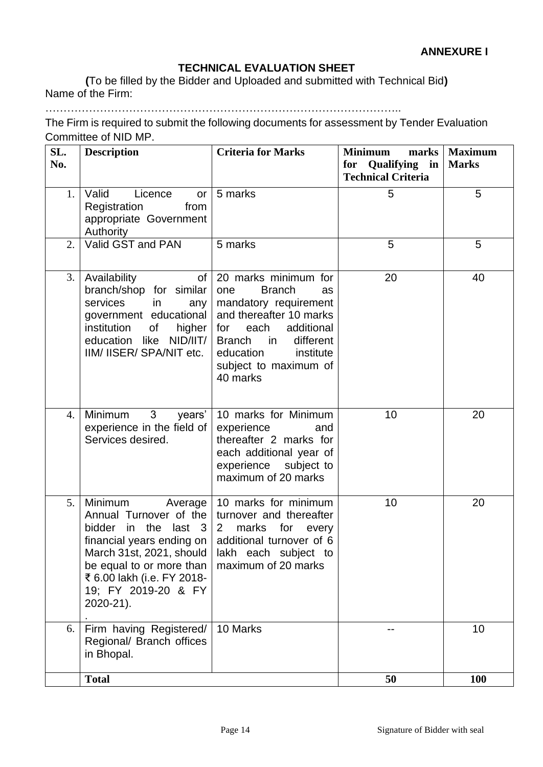#### **TECHNICAL EVALUATION SHEET**

**(**To be filled by the Bidder and Uploaded and submitted with Technical Bid**)** Name of the Firm:

……………………………………………………………………………………..

The Firm is required to submit the following documents for assessment by Tender Evaluation Committee of NID MP.

| SL.<br>No. | <b>Description</b>                                                                                                                                                                                                                                                                                                     | <b>Criteria for Marks</b>                                                                                                                                                                                                                     | <b>Minimum</b><br>for Qualifying in<br><b>Technical Criteria</b> | marks   Maximum<br><b>Marks</b> |
|------------|------------------------------------------------------------------------------------------------------------------------------------------------------------------------------------------------------------------------------------------------------------------------------------------------------------------------|-----------------------------------------------------------------------------------------------------------------------------------------------------------------------------------------------------------------------------------------------|------------------------------------------------------------------|---------------------------------|
| 1.         | Valid<br>Licence<br>or<br>Registration<br>from<br>appropriate Government<br>Authority                                                                                                                                                                                                                                  | 5 marks                                                                                                                                                                                                                                       | 5                                                                | 5                               |
| 2.         | Valid GST and PAN                                                                                                                                                                                                                                                                                                      | 5 marks                                                                                                                                                                                                                                       | 5                                                                | 5                               |
| 3.         | Availability<br>of<br>branch/shop for similar<br>services<br>in<br>any<br>government educational<br>of the control<br>institution<br>higher<br>education like NID/IIT/<br>IIM/ IISER/ SPA/NIT etc.                                                                                                                     | 20 marks minimum for<br><b>Branch</b><br>one<br><b>as</b><br>mandatory requirement<br>and thereafter 10 marks<br>for each<br>additional<br>different<br><b>Branch</b><br>in in<br>education<br>institute<br>subject to maximum of<br>40 marks | 20                                                               | 40                              |
| 4.         | Minimum 3<br>years'<br>experience in the field of<br>Services desired.                                                                                                                                                                                                                                                 | 10 marks for Minimum<br>experience<br>and<br>thereafter 2 marks for<br>each additional year of<br>experience subject to<br>maximum of 20 marks                                                                                                | 10                                                               | 20                              |
| 5.         | Minimum Average<br>Annual Turnover of the turnover and thereafter<br>in the<br>bidder<br>$last \quad 3$<br>financial years ending on $\vert$ additional turnover of 6<br>March 31st, 2021, should   lakh each subject to<br>be equal to or more than<br>₹ 6.00 lakh (i.e. FY 2018-<br>19; FY 2019-20 & FY<br>2020-21). | 10 marks for minimum<br>$\mathbf{2}$<br>marks<br>for<br>every<br>maximum of 20 marks                                                                                                                                                          | 10                                                               | 20                              |
| 6.         | Firm having Registered/<br>Regional/ Branch offices<br>in Bhopal.                                                                                                                                                                                                                                                      | 10 Marks                                                                                                                                                                                                                                      |                                                                  | 10                              |
|            | <b>Total</b>                                                                                                                                                                                                                                                                                                           |                                                                                                                                                                                                                                               | 50                                                               | <b>100</b>                      |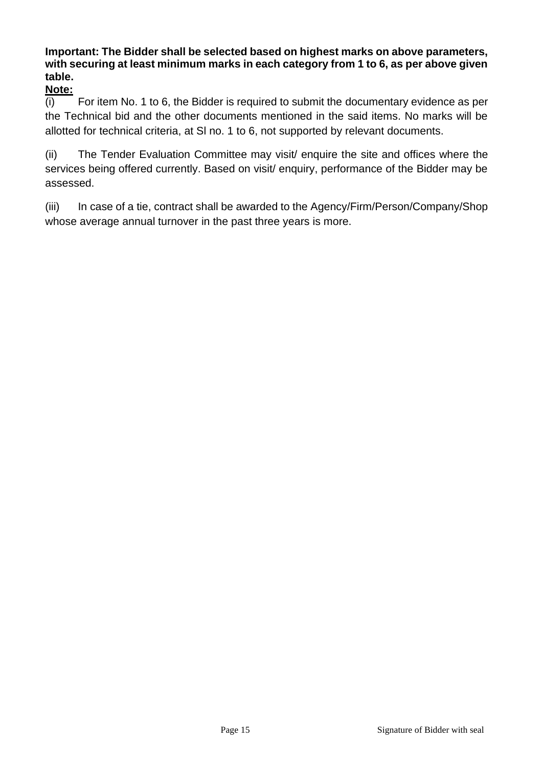# **Important: The Bidder shall be selected based on highest marks on above parameters, with securing at least minimum marks in each category from 1 to 6, as per above given table.**

**Note:**

(i) For item No. 1 to 6, the Bidder is required to submit the documentary evidence as per the Technical bid and the other documents mentioned in the said items. No marks will be allotted for technical criteria, at Sl no. 1 to 6, not supported by relevant documents.

(ii) The Tender Evaluation Committee may visit/ enquire the site and offices where the services being offered currently. Based on visit/ enquiry, performance of the Bidder may be assessed.

(iii) In case of a tie, contract shall be awarded to the Agency/Firm/Person/Company/Shop whose average annual turnover in the past three years is more.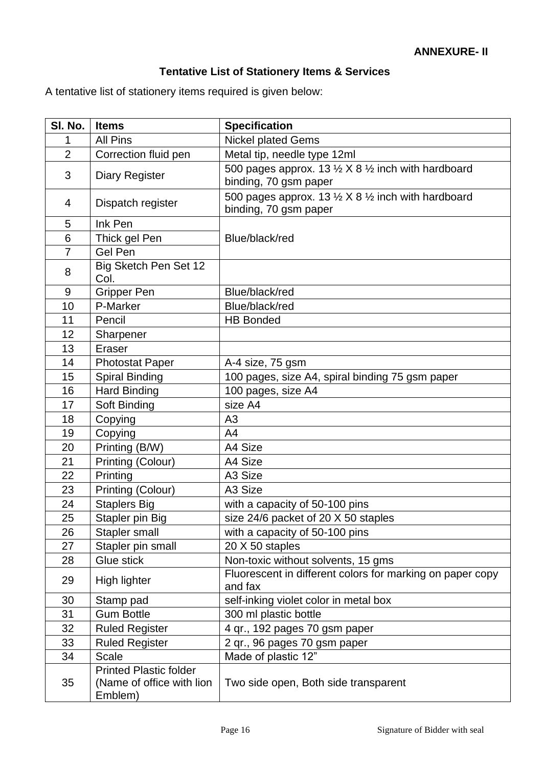# **Tentative List of Stationery Items & Services**

A tentative list of stationery items required is given below:

| SI. No.        | <b>Items</b>                                                          | <b>Specification</b>                                                                              |  |
|----------------|-----------------------------------------------------------------------|---------------------------------------------------------------------------------------------------|--|
| 1              | <b>All Pins</b>                                                       | <b>Nickel plated Gems</b>                                                                         |  |
| $\overline{2}$ | Correction fluid pen                                                  | Metal tip, needle type 12ml                                                                       |  |
| 3              | <b>Diary Register</b>                                                 | 500 pages approx. 13 $\frac{1}{2}$ X 8 $\frac{1}{2}$ inch with hardboard<br>binding, 70 gsm paper |  |
| 4              | Dispatch register                                                     | 500 pages approx. 13 $\frac{1}{2}$ X 8 $\frac{1}{2}$ inch with hardboard<br>binding, 70 gsm paper |  |
| 5              | Ink Pen                                                               |                                                                                                   |  |
| 6              | Thick gel Pen                                                         | Blue/black/red                                                                                    |  |
| 7              | Gel Pen                                                               |                                                                                                   |  |
| 8              | Big Sketch Pen Set 12<br>Col.                                         |                                                                                                   |  |
| 9              | <b>Gripper Pen</b>                                                    | Blue/black/red                                                                                    |  |
| 10             | P-Marker                                                              | Blue/black/red                                                                                    |  |
| 11             | Pencil                                                                | <b>HB Bonded</b>                                                                                  |  |
| 12             | Sharpener                                                             |                                                                                                   |  |
| 13             | Eraser                                                                |                                                                                                   |  |
| 14             | <b>Photostat Paper</b>                                                | A-4 size, 75 gsm                                                                                  |  |
| 15             | <b>Spiral Binding</b>                                                 | 100 pages, size A4, spiral binding 75 gsm paper                                                   |  |
| 16             | <b>Hard Binding</b>                                                   | 100 pages, size A4                                                                                |  |
| 17             | Soft Binding                                                          | size A4                                                                                           |  |
| 18             | Copying                                                               | A3                                                                                                |  |
| 19             | Copying                                                               | A4                                                                                                |  |
| 20             | Printing (B/W)                                                        | A4 Size                                                                                           |  |
| 21             | Printing (Colour)                                                     | A4 Size                                                                                           |  |
| 22             | Printing                                                              | A3 Size                                                                                           |  |
| 23             | Printing (Colour)                                                     | A3 Size                                                                                           |  |
| 24             | <b>Staplers Big</b>                                                   | with a capacity of 50-100 pins                                                                    |  |
| 25             | Stapler pin Big                                                       | size 24/6 packet of 20 X 50 staples                                                               |  |
| 26             | Stapler small                                                         | with a capacity of 50-100 pins                                                                    |  |
| 27             | Stapler pin small                                                     | 20 X 50 staples                                                                                   |  |
| 28             | Glue stick                                                            | Non-toxic without solvents, 15 gms                                                                |  |
| 29             | High lighter                                                          | Fluorescent in different colors for marking on paper copy<br>and fax                              |  |
| 30             | Stamp pad                                                             | self-inking violet color in metal box                                                             |  |
| 31             | <b>Gum Bottle</b>                                                     | 300 ml plastic bottle                                                                             |  |
| 32             | <b>Ruled Register</b>                                                 | 4 qr., 192 pages 70 gsm paper                                                                     |  |
| 33             | <b>Ruled Register</b>                                                 | 2 qr., 96 pages 70 gsm paper                                                                      |  |
| 34             | <b>Scale</b>                                                          | Made of plastic 12"                                                                               |  |
| 35             | <b>Printed Plastic folder</b><br>(Name of office with lion<br>Emblem) | Two side open, Both side transparent                                                              |  |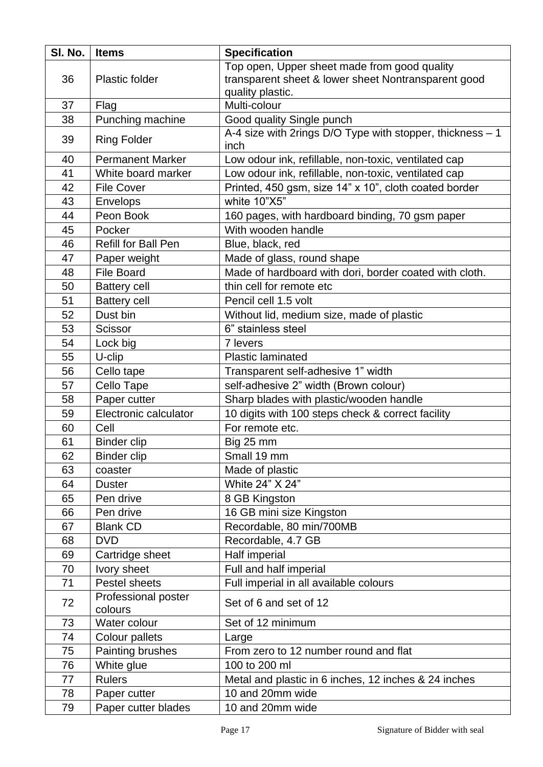| SI. No. | <b>Items</b>                   | <b>Specification</b>                                                     |  |
|---------|--------------------------------|--------------------------------------------------------------------------|--|
|         |                                | Top open, Upper sheet made from good quality                             |  |
| 36      | <b>Plastic folder</b>          | transparent sheet & lower sheet Nontransparent good<br>quality plastic.  |  |
| 37      | Flag                           | Multi-colour                                                             |  |
| 38      | Punching machine               | Good quality Single punch                                                |  |
| 39      | <b>Ring Folder</b>             | A-4 size with 2rings D/O Type with stopper, thickness - 1<br>inch        |  |
| 40      | <b>Permanent Marker</b>        | Low odour ink, refillable, non-toxic, ventilated cap                     |  |
| 41      | White board marker             | Low odour ink, refillable, non-toxic, ventilated cap                     |  |
| 42      | <b>File Cover</b>              | Printed, 450 gsm, size 14" x 10", cloth coated border                    |  |
| 43      | <b>Envelops</b>                | white 10"X5"                                                             |  |
| 44      | Peon Book                      | 160 pages, with hardboard binding, 70 gsm paper                          |  |
| 45      | Pocker                         | With wooden handle                                                       |  |
| 46      | <b>Refill for Ball Pen</b>     | Blue, black, red                                                         |  |
| 47      | Paper weight                   | Made of glass, round shape                                               |  |
| 48      | <b>File Board</b>              | Made of hardboard with dori, border coated with cloth.                   |  |
| 50      | <b>Battery cell</b>            | thin cell for remote etc                                                 |  |
| 51      | <b>Battery cell</b>            | Pencil cell 1.5 volt                                                     |  |
| 52      | Dust bin                       | Without lid, medium size, made of plastic                                |  |
| 53      | Scissor                        | 6" stainless steel                                                       |  |
| 54      | Lock big                       | 7 levers                                                                 |  |
| 55      | U-clip                         | <b>Plastic laminated</b>                                                 |  |
| 56      | Cello tape                     | Transparent self-adhesive 1" width                                       |  |
| 57      | Cello Tape                     | self-adhesive 2" width (Brown colour)                                    |  |
| 58      | Paper cutter                   | Sharp blades with plastic/wooden handle                                  |  |
| 59      | Electronic calculator          | 10 digits with 100 steps check & correct facility                        |  |
| 60      | Cell                           | For remote etc.                                                          |  |
| 61      | <b>Binder clip</b>             | Big 25 mm                                                                |  |
| 62      | <b>Binder clip</b>             | Small 19 mm                                                              |  |
| 63      | coaster                        | Made of plastic                                                          |  |
| 64      | <b>Duster</b>                  | White 24" X 24"                                                          |  |
| 65      | Pen drive                      | 8 GB Kingston                                                            |  |
| 66      | Pen drive                      | 16 GB mini size Kingston                                                 |  |
| 67      | <b>Blank CD</b>                | Recordable, 80 min/700MB                                                 |  |
| 68      | <b>DVD</b>                     | Recordable, 4.7 GB                                                       |  |
| 69      | Cartridge sheet                | Half imperial                                                            |  |
| 70      | Ivory sheet                    | Full and half imperial                                                   |  |
| 71      | Pestel sheets                  | Full imperial in all available colours                                   |  |
| 72      | Professional poster<br>colours | Set of 6 and set of 12                                                   |  |
| 73      | Water colour                   | Set of 12 minimum                                                        |  |
| 74      | Colour pallets                 |                                                                          |  |
| 75      | Painting brushes               | Large<br>From zero to 12 number round and flat                           |  |
| 76      | White glue                     | 100 to 200 ml                                                            |  |
| 77      | <b>Rulers</b>                  |                                                                          |  |
| 78      |                                | Metal and plastic in 6 inches, 12 inches & 24 inches<br>10 and 20mm wide |  |
|         | Paper cutter                   |                                                                          |  |
| 79      | Paper cutter blades            | 10 and 20mm wide                                                         |  |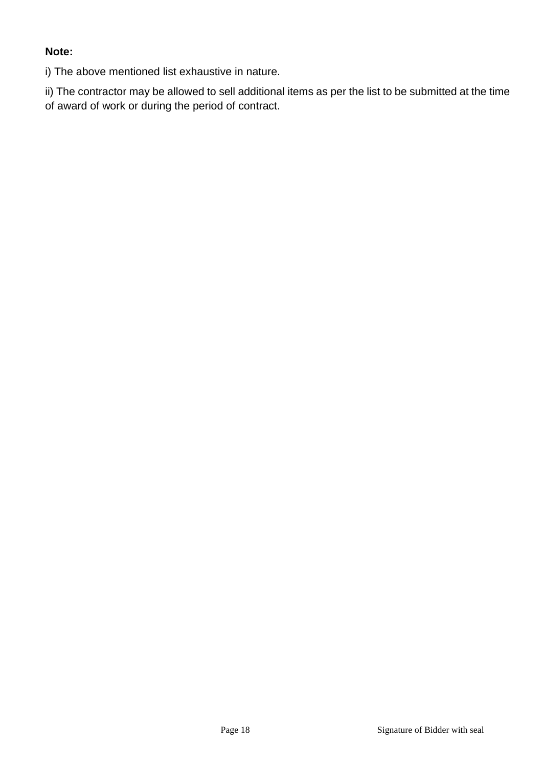#### **Note:**

i) The above mentioned list exhaustive in nature.

ii) The contractor may be allowed to sell additional items as per the list to be submitted at the time of award of work or during the period of contract.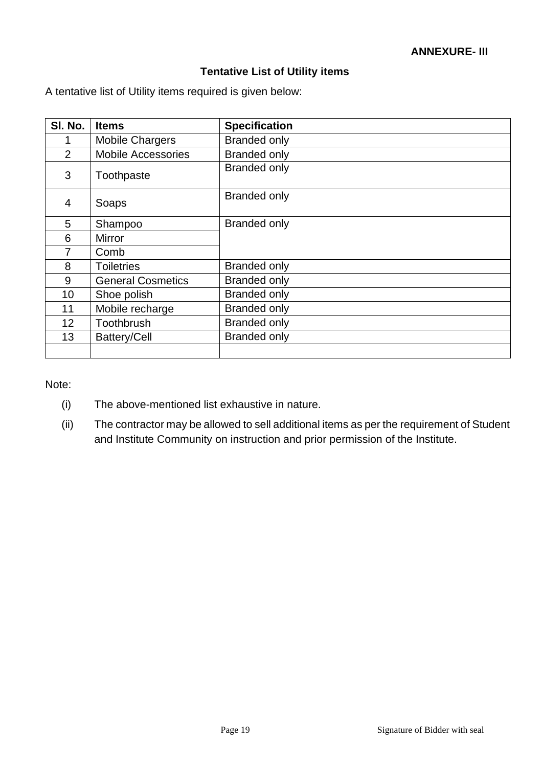#### **Tentative List of Utility items**

A tentative list of Utility items required is given below:

| SI. No.         | <b>Items</b>              | <b>Specification</b> |
|-----------------|---------------------------|----------------------|
|                 | <b>Mobile Chargers</b>    | <b>Branded only</b>  |
| 2               | <b>Mobile Accessories</b> | <b>Branded only</b>  |
| 3               | Toothpaste                | <b>Branded only</b>  |
| 4               | Soaps                     | <b>Branded only</b>  |
| 5               | Shampoo                   | <b>Branded only</b>  |
| 6               | Mirror                    |                      |
| 7               | Comb                      |                      |
| 8               | <b>Toiletries</b>         | <b>Branded only</b>  |
| 9               | <b>General Cosmetics</b>  | <b>Branded only</b>  |
| 10              | Shoe polish               | <b>Branded only</b>  |
| 11              | Mobile recharge           | <b>Branded only</b>  |
| 12 <sup>2</sup> | Toothbrush                | <b>Branded only</b>  |
| 13              | <b>Battery/Cell</b>       | <b>Branded only</b>  |
|                 |                           |                      |

Note:

- (i) The above-mentioned list exhaustive in nature.
- (ii) The contractor may be allowed to sell additional items as per the requirement of Student and Institute Community on instruction and prior permission of the Institute.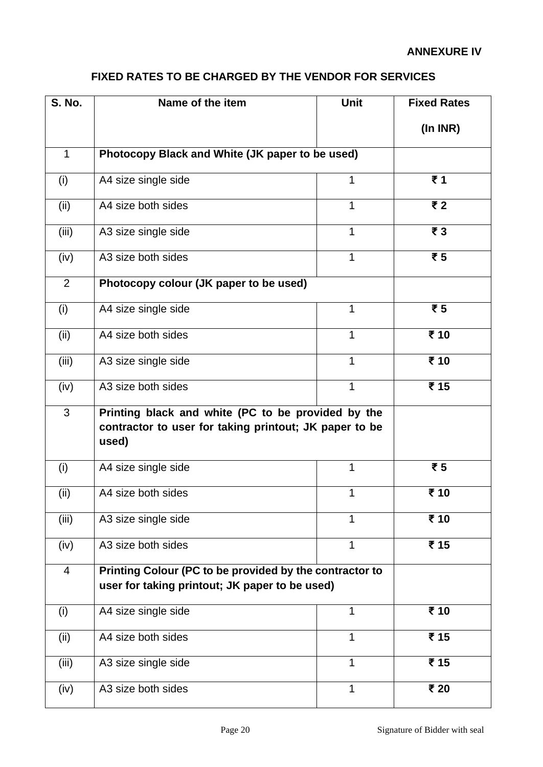# **FIXED RATES TO BE CHARGED BY THE VENDOR FOR SERVICES**

| <b>S. No.</b> | Name of the item                                                                                                      | <b>Unit</b>  | <b>Fixed Rates</b>                 |
|---------------|-----------------------------------------------------------------------------------------------------------------------|--------------|------------------------------------|
|               |                                                                                                                       |              | (In INR)                           |
| $\mathbf{1}$  | Photocopy Black and White (JK paper to be used)                                                                       |              |                                    |
| (i)           | A4 size single side                                                                                                   | 1            | ₹1                                 |
| (ii)          | A4 size both sides                                                                                                    | $\mathbf 1$  | $\overline{\overline{\epsilon}}$ 2 |
| (iii)         | A3 size single side                                                                                                   | $\mathbf{1}$ | $\overline{\mathbf{z}}$ 3          |
| (iv)          | A3 size both sides                                                                                                    | 1            | $\overline{\overline{\epsilon}}$ 5 |
| 2             | Photocopy colour (JK paper to be used)                                                                                |              |                                    |
| (i)           | A4 size single side                                                                                                   | $\mathbf{1}$ | ₹5                                 |
| (ii)          | A4 size both sides                                                                                                    | $\mathbf{1}$ | ₹ 10                               |
| (iii)         | A3 size single side                                                                                                   | 1            | ₹ 10                               |
| (iv)          | A3 size both sides                                                                                                    | $\mathbf{1}$ | ₹ 15                               |
| 3             | Printing black and white (PC to be provided by the<br>contractor to user for taking printout; JK paper to be<br>used) |              |                                    |
| (i)           | A4 size single side                                                                                                   | $\mathbf{1}$ | ₹5                                 |
| (ii)          | A4 size both sides                                                                                                    | 1            | ₹ 10                               |
| (iii)         | A3 size single side                                                                                                   | 1            | ₹ 10                               |
| (iv)          | A3 size both sides                                                                                                    | 1            | ₹ 15                               |
| 4             | Printing Colour (PC to be provided by the contractor to<br>user for taking printout; JK paper to be used)             |              |                                    |
| (i)           | A4 size single side                                                                                                   | 1            | ₹ 10                               |
| (ii)          | A4 size both sides                                                                                                    | $\mathbf 1$  | ₹ 15                               |
| (iii)         | A3 size single side                                                                                                   | 1            | ₹ 15                               |
| (iv)          | A3 size both sides                                                                                                    | 1            | ₹ 20                               |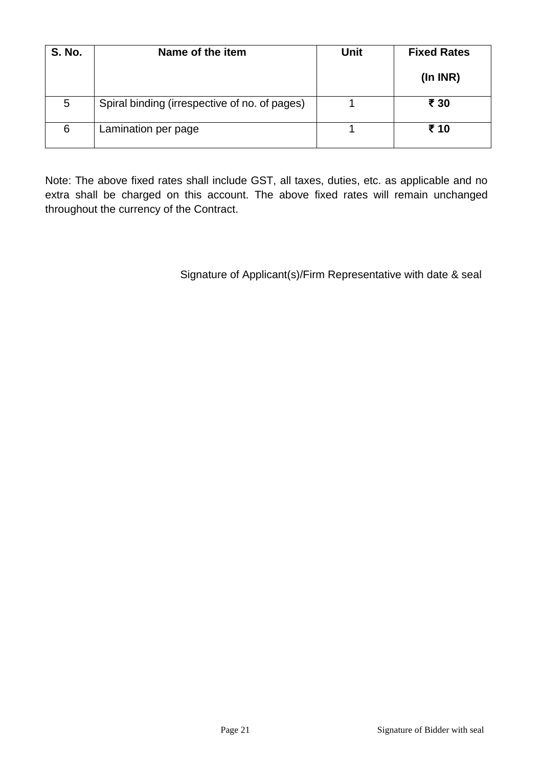| <b>S. No.</b> | Name of the item                              | <b>Unit</b> | <b>Fixed Rates</b> |
|---------------|-----------------------------------------------|-------------|--------------------|
|               |                                               |             | (ln INR)           |
| 5             | Spiral binding (irrespective of no. of pages) |             | ₹ 30               |
| 6             | Lamination per page                           |             | ₹ 10               |

Note: The above fixed rates shall include GST, all taxes, duties, etc. as applicable and no extra shall be charged on this account. The above fixed rates will remain unchanged throughout the currency of the Contract.

Signature of Applicant(s)/Firm Representative with date & seal